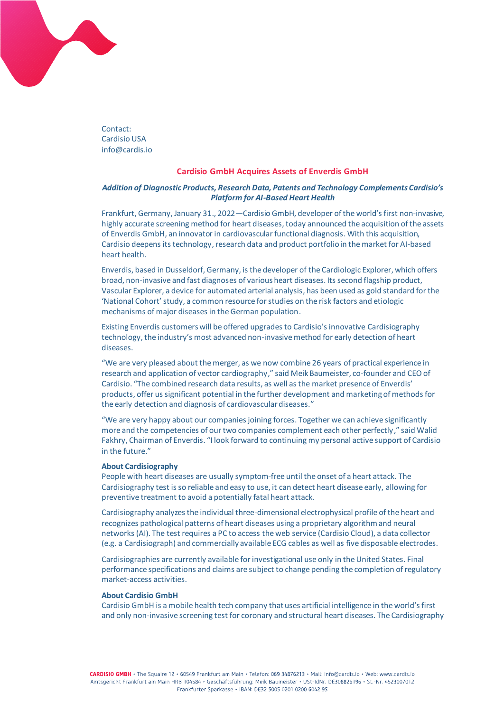

Contact: Cardisio USA info@cardis.io

## **Cardisio GmbH Acquires Assets of Enverdis GmbH**

## *Addition of Diagnostic Products, Research Data, Patents and Technology Complements Cardisio's Platform for AI-Based Heart Health*

Frankfurt, Germany, January 31., 2022—Cardisio GmbH, developer of the world's first non-invasive, highly accurate screening method for heart diseases, today announced the acquisition of the assets of Enverdis GmbH, an innovator in cardiovascular functional diagnosis. With this acquisition, Cardisio deepens its technology, research data and product portfolio in the market for AI-based heart health.

Enverdis, based in Dusseldorf, Germany, is the developer of the Cardiologic Explorer, which offers broad, non-invasive and fast diagnoses of various heart diseases. Its second flagship product, Vascular Explorer, a device for automated arterial analysis, has been used as gold standard for the 'National Cohort'study, a common resource for studies on the risk factors and etiologic mechanisms of major diseases in the German population.

Existing Enverdis customers will be offered upgrades to Cardisio's innovative Cardisiography technology, the industry's most advanced non-invasive method for early detection of heart diseases.

"We are very pleased about the merger, as we now combine 26 years of practical experience in research and application of vector cardiography," said Meik Baumeister, co-founder and CEO of Cardisio. "The combined research data results, as well as the market presence of Enverdis' products, offer us significant potential in the further development and marketing of methods for the early detection and diagnosis of cardiovascular diseases."

"We are very happy about our companies joining forces. Together we can achieve significantly more and the competencies of our two companies complement each other perfectly," said Walid Fakhry, Chairman of Enverdis. "I look forward to continuing my personal active support of Cardisio in the future."

## **About Cardisiography**

People with heart diseases are usually symptom-free until the onset of a heart attack. The Cardisiography test is so reliable and easy to use, it can detect heart disease early, allowing for preventive treatment to avoid a potentially fatal heart attack.

Cardisiography analyzes the individual three-dimensional electrophysical profile of the heart and recognizes pathological patterns of heart diseases using a proprietary algorithm and neural networks (AI). The test requires a PC to access the web service (Cardisio Cloud), a data collector (e.g. a Cardisiograph) and commercially available ECG cables as well as five disposable electrodes.

Cardisiographies are currently available for investigational use only in the United States. Final performance specifications and claims are subject to change pending the completion of regulatory market-access activities.

## **About Cardisio GmbH**

Cardisio GmbH is a mobile health tech company that uses artificial intelligence in the world's first and only non-invasive screening test for coronary and structural heart diseases. The Cardisiography